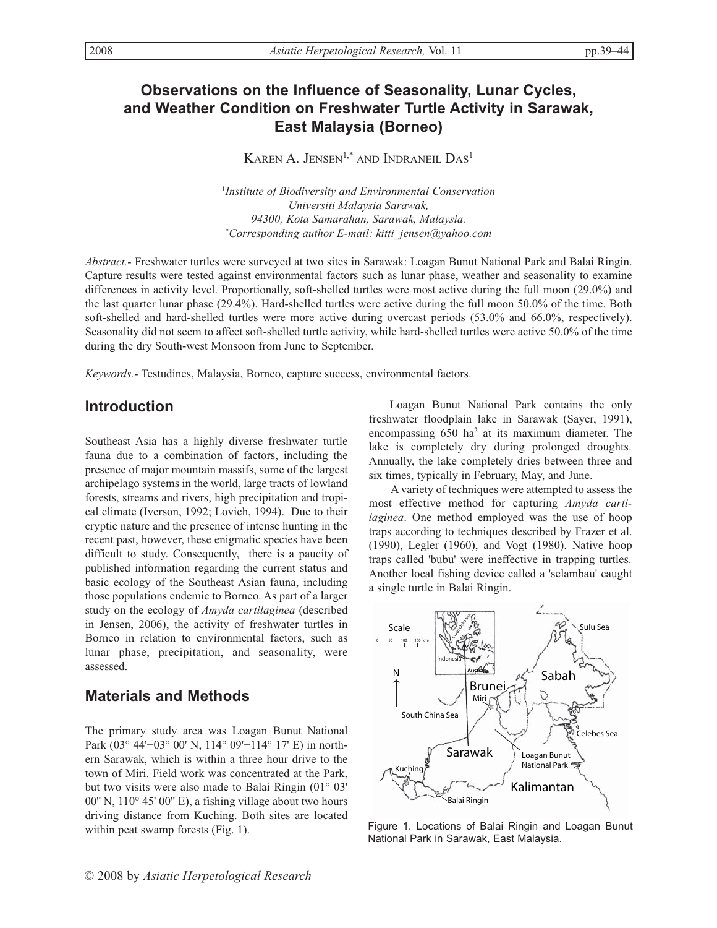# **Observations on the Influence of Seasonality, Lunar Cycles, and Weather Condition on Freshwater Turtle Activity in Sarawak, East Malaysia (Borneo)**

KAREN A. JENSEN<sup>1,\*</sup> AND INDRANEIL DAS<sup>1</sup>

1 *Institute of Biodiversity and Environmental Conservation Universiti Malaysia Sarawak, 94300, Kota Samarahan, Sarawak, Malaysia. \* Corresponding author E-mail: kitti\_jensen@yahoo.com*

*Abstract.*- Freshwater turtles were surveyed at two sites in Sarawak: Loagan Bunut National Park and Balai Ringin. Capture results were tested against environmental factors such as lunar phase, weather and seasonality to examine differences in activity level. Proportionally, soft-shelled turtles were most active during the full moon (29.0%) and the last quarter lunar phase (29.4%). Hard-shelled turtles were active during the full moon 50.0% of the time. Both soft-shelled and hard-shelled turtles were more active during overcast periods (53.0% and 66.0%, respectively). Seasonality did not seem to affect soft-shelled turtle activity, while hard-shelled turtles were active 50.0% of the time during the dry South-west Monsoon from June to September.

*Keywords.*- Testudines, Malaysia, Borneo, capture success, environmental factors.

### **Introduction**

Southeast Asia has a highly diverse freshwater turtle fauna due to a combination of factors, including the presence of major mountain massifs, some of the largest archipelago systems in the world, large tracts of lowland forests, streams and rivers, high precipitation and tropical climate (Iverson, 1992; Lovich, 1994). Due to their cryptic nature and the presence of intense hunting in the recent past, however, these enigmatic species have been difficult to study. Consequently, there is a paucity of published information regarding the current status and basic ecology of the Southeast Asian fauna, including those populations endemic to Borneo. As part of a larger study on the ecology of *Amyda cartilaginea* (described in Jensen, 2006), the activity of freshwater turtles in Borneo in relation to environmental factors, such as lunar phase, precipitation, and seasonality, were assessed.

### **Materials and Methods**

The primary study area was Loagan Bunut National Park (03° 44'–03° 00' N, 114° 09'–114° 17' E) in northern Sarawak, which is within a three hour drive to the town of Miri. Field work was concentrated at the Park, but two visits were also made to Balai Ringin (01° 03' 00'' N, 110° 45' 00" E), a fishing village about two hours driving distance from Kuching. Both sites are located within peat swamp forests (Fig. 1).

Loagan Bunut National Park contains the only freshwater floodplain lake in Sarawak (Sayer, 1991), encompassing 650 ha<sup>2</sup> at its maximum diameter. The lake is completely dry during prolonged droughts. Annually, the lake completely dries between three and six times, typically in February, May, and June.

A variety of techniques were attempted to assess the most effective method for capturing *Amyda cartilaginea*. One method employed was the use of hoop traps according to techniques described by Frazer et al. (1990), Legler (1960), and Vogt (1980). Native hoop traps called 'bubu' were ineffective in trapping turtles. Another local fishing device called a 'selambau' caught a single turtle in Balai Ringin.



Figure 1. Locations of Balai Ringin and Loagan Bunut National Park in Sarawak, East Malaysia.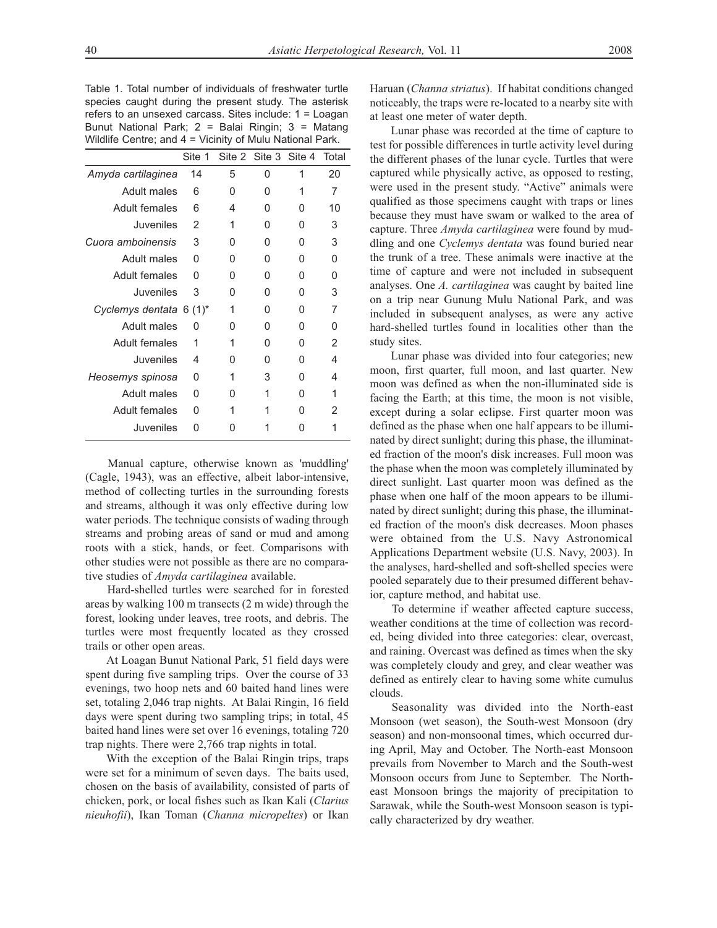Table 1. Total number of individuals of freshwater turtle species caught during the present study. The asterisk refers to an unsexed carcass. Sites include: 1 = Loagan Bunut National Park; 2 = Balai Ringin; 3 = Matang Wildlife Centre; and 4 = Vicinity of Mulu National Park.

|                         | Site 1 |   | Site 2 Site 3 Site 4 |   | Total |
|-------------------------|--------|---|----------------------|---|-------|
| Amyda cartilaginea      | 14     | 5 | 0                    | 1 | 20    |
| Adult males             | 6      | O | O                    | 1 | 7     |
| Adult females           | 6      | 4 | O                    | U | 10    |
| <b>Juveniles</b>        | 2      | 1 | O                    | U | 3     |
| Cuora amboinensis       | 3      | ∩ | O                    | U | 3     |
| Adult males             | O      | O | O                    | U | U     |
| Adult females           | O      | O | O                    | O | U     |
| <b>Juveniles</b>        | 3      | O | U                    | U | 3     |
| Cyclemys dentata 6 (1)* |        | 1 | O                    | U | 7     |
| Adult males             | O      | ∩ | O                    | U | 0     |
| Adult females           | 1      | 1 | U                    | U | 2     |
| Juveniles               | 4      | O | U                    | U | 4     |
| Heosemys spinosa        | O      | 1 | 3                    | U | 4     |
| <b>Adult males</b>      | 0      | O | 1                    | O | 1     |
| Adult females           | O      |   |                      | U | 2     |
| Juveniles               | n      |   |                      |   |       |

Manual capture, otherwise known as 'muddling' (Cagle, 1943), was an effective, albeit labor-intensive, method of collecting turtles in the surrounding forests and streams, although it was only effective during low water periods. The technique consists of wading through streams and probing areas of sand or mud and among roots with a stick, hands, or feet. Comparisons with other studies were not possible as there are no comparative studies of *Amyda cartilaginea* available.

Hard-shelled turtles were searched for in forested areas by walking 100 m transects (2 m wide) through the forest, looking under leaves, tree roots, and debris. The turtles were most frequently located as they crossed trails or other open areas.

At Loagan Bunut National Park, 51 field days were spent during five sampling trips. Over the course of 33 evenings, two hoop nets and 60 baited hand lines were set, totaling 2,046 trap nights. At Balai Ringin, 16 field days were spent during two sampling trips; in total, 45 baited hand lines were set over 16 evenings, totaling 720 trap nights. There were 2,766 trap nights in total.

With the exception of the Balai Ringin trips, traps were set for a minimum of seven days. The baits used, chosen on the basis of availability, consisted of parts of chicken, pork, or local fishes such as Ikan Kali (*Clarius nieuhofii*), Ikan Toman (*Channa micropeltes*) or Ikan

Haruan (*Channa striatus*). If habitat conditions changed noticeably, the traps were re-located to a nearby site with at least one meter of water depth.

Lunar phase was recorded at the time of capture to test for possible differences in turtle activity level during the different phases of the lunar cycle. Turtles that were captured while physically active, as opposed to resting, were used in the present study. "Active" animals were qualified as those specimens caught with traps or lines because they must have swam or walked to the area of capture. Three *Amyda cartilaginea* were found by muddling and one *Cyclemys dentata* was found buried near the trunk of a tree. These animals were inactive at the time of capture and were not included in subsequent analyses. One *A. cartilaginea* was caught by baited line on a trip near Gunung Mulu National Park, and was included in subsequent analyses, as were any active hard-shelled turtles found in localities other than the study sites.

Lunar phase was divided into four categories; new moon, first quarter, full moon, and last quarter. New moon was defined as when the non-illuminated side is facing the Earth; at this time, the moon is not visible, except during a solar eclipse. First quarter moon was defined as the phase when one half appears to be illuminated by direct sunlight; during this phase, the illuminated fraction of the moon's disk increases. Full moon was the phase when the moon was completely illuminated by direct sunlight. Last quarter moon was defined as the phase when one half of the moon appears to be illuminated by direct sunlight; during this phase, the illuminated fraction of the moon's disk decreases. Moon phases were obtained from the U.S. Navy Astronomical Applications Department website (U.S. Navy, 2003). In the analyses, hard-shelled and soft-shelled species were pooled separately due to their presumed different behavior, capture method, and habitat use.

To determine if weather affected capture success, weather conditions at the time of collection was recorded, being divided into three categories: clear, overcast, and raining. Overcast was defined as times when the sky was completely cloudy and grey, and clear weather was defined as entirely clear to having some white cumulus clouds.

Seasonality was divided into the North-east Monsoon (wet season), the South-west Monsoon (dry season) and non-monsoonal times, which occurred during April, May and October. The North-east Monsoon prevails from November to March and the South-west Monsoon occurs from June to September. The Northeast Monsoon brings the majority of precipitation to Sarawak, while the South-west Monsoon season is typically characterized by dry weather.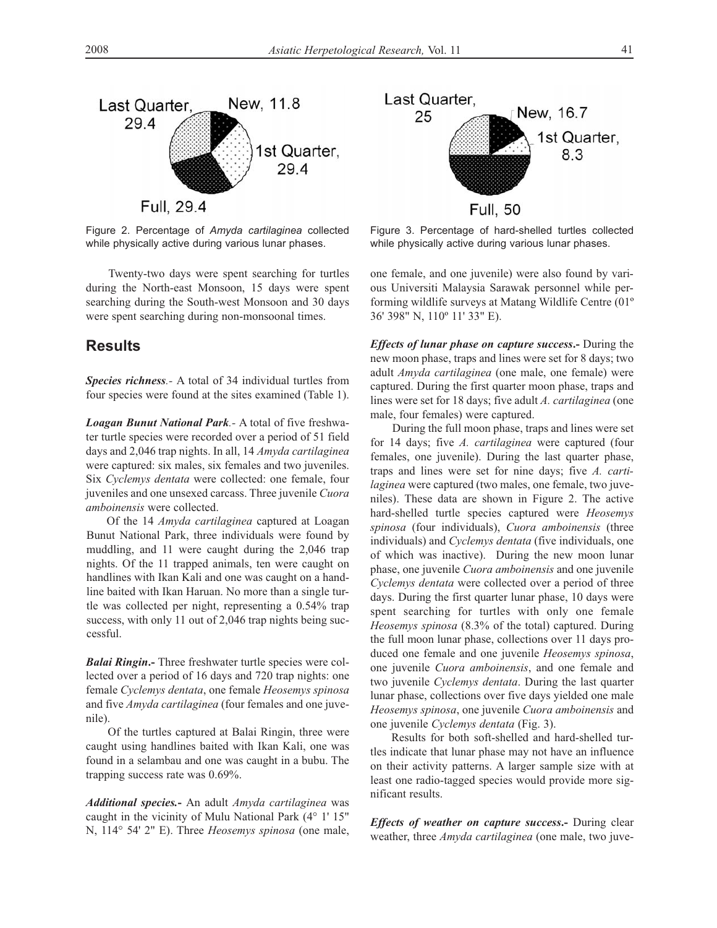

Figure 2. Percentage of *Amyda cartilaginea* collected while physically active during various lunar phases.

Twenty-two days were spent searching for turtles during the North-east Monsoon, 15 days were spent searching during the South-west Monsoon and 30 days were spent searching during non-monsoonal times.

#### **Results**

*Species richness.-* A total of 34 individual turtles from four species were found at the sites examined (Table 1).

*Loagan Bunut National Park.-* A total of five freshwater turtle species were recorded over a period of 51 field days and 2,046 trap nights. In all, 14 *Amyda cartilaginea* were captured: six males, six females and two juveniles. Six *Cyclemys dentata* were collected: one female, four juveniles and one unsexed carcass. Three juvenile *Cuora amboinensis* were collected.

Of the 14 *Amyda cartilaginea* captured at Loagan Bunut National Park, three individuals were found by muddling, and 11 were caught during the 2,046 trap nights. Of the 11 trapped animals, ten were caught on handlines with Ikan Kali and one was caught on a handline baited with Ikan Haruan. No more than a single turtle was collected per night, representing a 0.54% trap success, with only 11 out of 2,046 trap nights being successful.

*Balai Ringin***.-** Three freshwater turtle species were collected over a period of 16 days and 720 trap nights: one female *Cyclemys dentata*, one female *Heosemys spinosa* and five *Amyda cartilaginea* (four females and one juvenile).

Of the turtles captured at Balai Ringin, three were caught using handlines baited with Ikan Kali, one was found in a selambau and one was caught in a bubu. The trapping success rate was 0.69%.

*Additional species.***-** An adult *Amyda cartilaginea* was caught in the vicinity of Mulu National Park (4° 1' 15" N, 114° 54' 2" E). Three *Heosemys spinosa* (one male,



Figure 3. Percentage of hard-shelled turtles collected while physically active during various lunar phases.

one female, and one juvenile) were also found by various Universiti Malaysia Sarawak personnel while performing wildlife surveys at Matang Wildlife Centre (01º 36' 398" N, 110º 11' 33" E).

*Effects of lunar phase on capture success***.-** During the new moon phase, traps and lines were set for 8 days; two adult *Amyda cartilaginea* (one male, one female) were captured. During the first quarter moon phase, traps and lines were set for 18 days; five adult *A. cartilaginea* (one male, four females) were captured.

During the full moon phase, traps and lines were set for 14 days; five *A. cartilaginea* were captured (four females, one juvenile). During the last quarter phase, traps and lines were set for nine days; five *A. cartilaginea* were captured (two males, one female, two juveniles). These data are shown in Figure 2. The active hard-shelled turtle species captured were *Heosemys spinosa* (four individuals), *Cuora amboinensis* (three individuals) and *Cyclemys dentata* (five individuals, one of which was inactive). During the new moon lunar phase, one juvenile *Cuora amboinensis* and one juvenile *Cyclemys dentata* were collected over a period of three days. During the first quarter lunar phase, 10 days were spent searching for turtles with only one female *Heosemys spinosa* (8.3% of the total) captured. During the full moon lunar phase, collections over 11 days produced one female and one juvenile *Heosemys spinosa*, one juvenile *Cuora amboinensis*, and one female and two juvenile *Cyclemys dentata*. During the last quarter lunar phase, collections over five days yielded one male *Heosemys spinosa*, one juvenile *Cuora amboinensis* and one juvenile *Cyclemys dentata* (Fig. 3).

Results for both soft-shelled and hard-shelled turtles indicate that lunar phase may not have an influence on their activity patterns. A larger sample size with at least one radio-tagged species would provide more significant results.

*Effects of weather on capture success***.-** During clear weather, three *Amyda cartilaginea* (one male, two juve-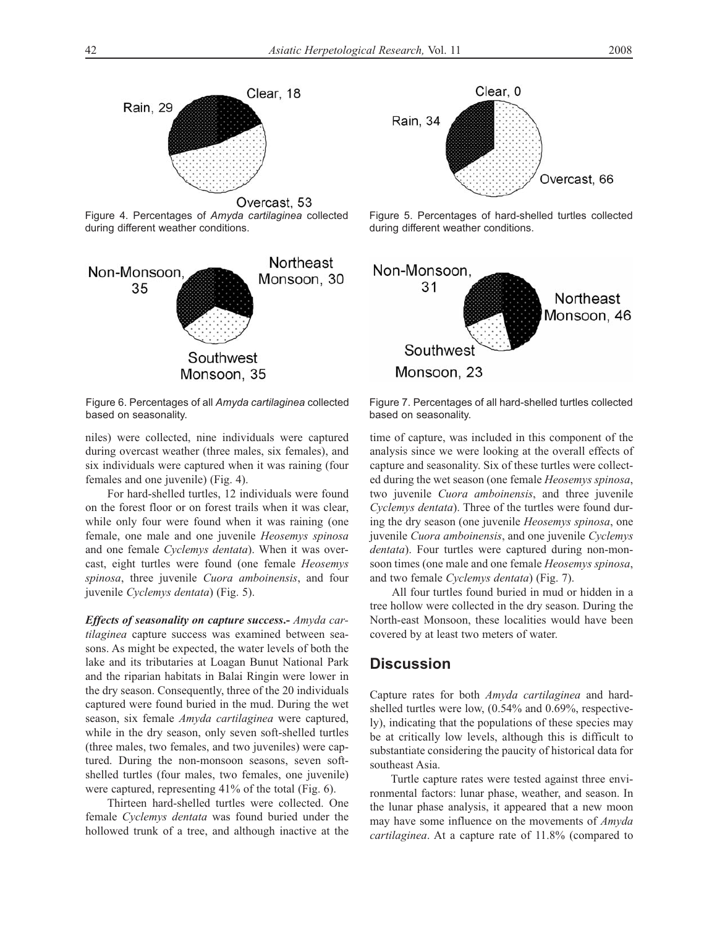

Figure 4. Percentages of *Amyda cartilaginea* collected during different weather conditions.



Figure 6. Percentages of all *Amyda cartilaginea* collected based on seasonality.

niles) were collected, nine individuals were captured during overcast weather (three males, six females), and six individuals were captured when it was raining (four females and one juvenile) (Fig. 4).

For hard-shelled turtles, 12 individuals were found on the forest floor or on forest trails when it was clear, while only four were found when it was raining (one female, one male and one juvenile *Heosemys spinosa* and one female *Cyclemys dentata*). When it was overcast, eight turtles were found (one female *Heosemys spinosa*, three juvenile *Cuora amboinensis*, and four juvenile *Cyclemys dentata*) (Fig. 5).

*Effects of seasonality on capture success***.-** *Amyda cartilaginea* capture success was examined between seasons. As might be expected, the water levels of both the lake and its tributaries at Loagan Bunut National Park and the riparian habitats in Balai Ringin were lower in the dry season. Consequently, three of the 20 individuals captured were found buried in the mud. During the wet season, six female *Amyda cartilaginea* were captured, while in the dry season, only seven soft-shelled turtles (three males, two females, and two juveniles) were captured. During the non-monsoon seasons, seven softshelled turtles (four males, two females, one juvenile) were captured, representing 41% of the total (Fig. 6).

Thirteen hard-shelled turtles were collected. One female *Cyclemys dentata* was found buried under the hollowed trunk of a tree, and although inactive at the



Figure 5. Percentages of hard-shelled turtles collected during different weather conditions.



Figure 7. Percentages of all hard-shelled turtles collected based on seasonality.

time of capture, was included in this component of the analysis since we were looking at the overall effects of capture and seasonality. Six of these turtles were collected during the wet season (one female *Heosemys spinosa*, two juvenile *Cuora amboinensis*, and three juvenile *Cyclemys dentata*). Three of the turtles were found during the dry season (one juvenile *Heosemys spinosa*, one juvenile *Cuora amboinensis*, and one juvenile *Cyclemys dentata*). Four turtles were captured during non-monsoon times (one male and one female *Heosemys spinosa*, and two female *Cyclemys dentata*) (Fig. 7).

All four turtles found buried in mud or hidden in a tree hollow were collected in the dry season. During the North-east Monsoon, these localities would have been covered by at least two meters of water.

### **Discussion**

Capture rates for both *Amyda cartilaginea* and hardshelled turtles were low, (0.54% and 0.69%, respectively), indicating that the populations of these species may be at critically low levels, although this is difficult to substantiate considering the paucity of historical data for southeast Asia.

Turtle capture rates were tested against three environmental factors: lunar phase, weather, and season. In the lunar phase analysis, it appeared that a new moon may have some influence on the movements of *Amyda cartilaginea*. At a capture rate of 11.8% (compared to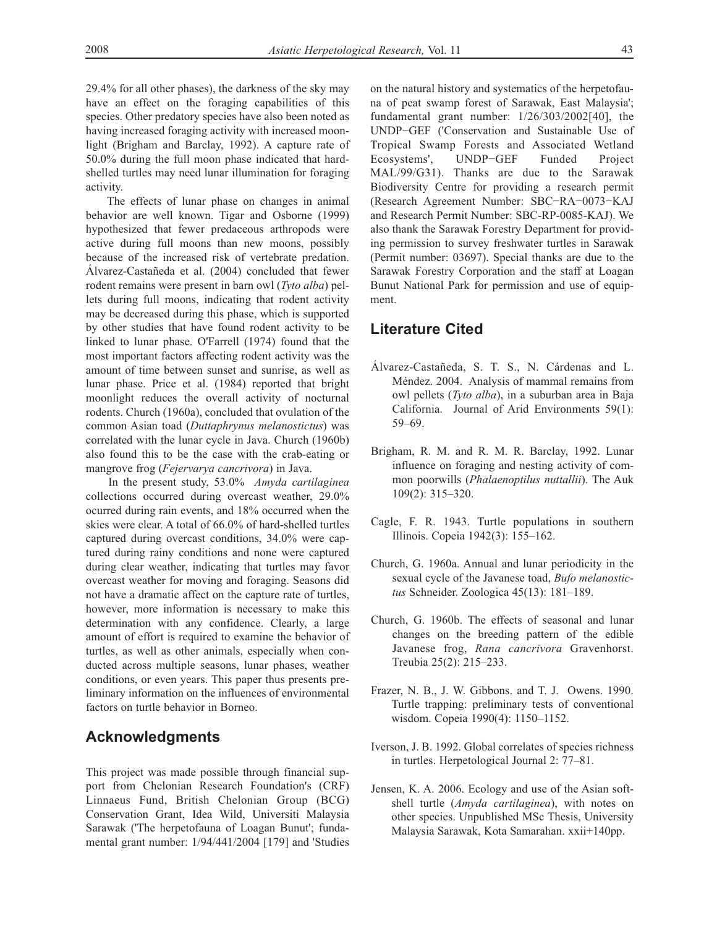29.4% for all other phases), the darkness of the sky may have an effect on the foraging capabilities of this species. Other predatory species have also been noted as having increased foraging activity with increased moonlight (Brigham and Barclay, 1992). A capture rate of 50.0% during the full moon phase indicated that hardshelled turtles may need lunar illumination for foraging activity.

The effects of lunar phase on changes in animal behavior are well known. Tigar and Osborne (1999) hypothesized that fewer predaceous arthropods were active during full moons than new moons, possibly because of the increased risk of vertebrate predation. Álvarez-Castañeda et al. (2004) concluded that fewer rodent remains were present in barn owl (*Tyto alba*) pellets during full moons, indicating that rodent activity may be decreased during this phase, which is supported by other studies that have found rodent activity to be linked to lunar phase. O'Farrell (1974) found that the most important factors affecting rodent activity was the amount of time between sunset and sunrise, as well as lunar phase. Price et al. (1984) reported that bright moonlight reduces the overall activity of nocturnal rodents. Church (1960a), concluded that ovulation of the common Asian toad (*Duttaphrynus melanostictus*) was correlated with the lunar cycle in Java. Church (1960b) also found this to be the case with the crab-eating or mangrove frog (*Fejervarya cancrivora*) in Java.

In the present study, 53.0% *Amyda cartilaginea* collections occurred during overcast weather, 29.0% ocurred during rain events, and 18% occurred when the skies were clear. A total of 66.0% of hard-shelled turtles captured during overcast conditions, 34.0% were captured during rainy conditions and none were captured during clear weather, indicating that turtles may favor overcast weather for moving and foraging. Seasons did not have a dramatic affect on the capture rate of turtles, however, more information is necessary to make this determination with any confidence. Clearly, a large amount of effort is required to examine the behavior of turtles, as well as other animals, especially when conducted across multiple seasons, lunar phases, weather conditions, or even years. This paper thus presents preliminary information on the influences of environmental factors on turtle behavior in Borneo.

### **Acknowledgments**

This project was made possible through financial support from Chelonian Research Foundation's (CRF) Linnaeus Fund, British Chelonian Group (BCG) Conservation Grant, Idea Wild, Universiti Malaysia Sarawak ('The herpetofauna of Loagan Bunut'; fundamental grant number: 1/94/441/2004 [179] and 'Studies on the natural history and systematics of the herpetofauna of peat swamp forest of Sarawak, East Malaysia'; fundamental grant number: 1/26/303/2002[40], the UNDP−GEF ('Conservation and Sustainable Use of Tropical Swamp Forests and Associated Wetland Ecosystems', UNDP−GEF Funded Project MAL/99/G31). Thanks are due to the Sarawak Biodiversity Centre for providing a research permit (Research Agreement Number: SBC−RA−0073−KAJ and Research Permit Number: SBC-RP-0085-KAJ). We also thank the Sarawak Forestry Department for providing permission to survey freshwater turtles in Sarawak (Permit number: 03697). Special thanks are due to the Sarawak Forestry Corporation and the staff at Loagan Bunut National Park for permission and use of equipment.

## **Literature Cited**

- Álvarez-Castañeda, S. T. S., N. Cárdenas and L. Méndez. 2004. Analysis of mammal remains from owl pellets (*Tyto alba*), in a suburban area in Baja California. Journal of Arid Environments 59(1): 59–69.
- Brigham, R. M. and R. M. R. Barclay, 1992. Lunar influence on foraging and nesting activity of common poorwills (*Phalaenoptilus nuttallii*). The Auk 109(2): 315–320.
- Cagle, F. R. 1943. Turtle populations in southern Illinois. Copeia 1942(3): 155–162.
- Church, G. 1960a. Annual and lunar periodicity in the sexual cycle of the Javanese toad, *Bufo melanostictus* Schneider. Zoologica 45(13): 181–189.
- Church, G. 1960b. The effects of seasonal and lunar changes on the breeding pattern of the edible Javanese frog, *Rana cancrivora* Gravenhorst. Treubia 25(2): 215–233.
- Frazer, N. B., J. W. Gibbons. and T. J. Owens. 1990. Turtle trapping: preliminary tests of conventional wisdom. Copeia 1990(4): 1150–1152.
- Iverson, J. B. 1992. Global correlates of species richness in turtles. Herpetological Journal 2: 77–81.
- Jensen, K. A. 2006. Ecology and use of the Asian softshell turtle (*Amyda cartilaginea*), with notes on other species. Unpublished MSc Thesis, University Malaysia Sarawak, Kota Samarahan. xxii+140pp.